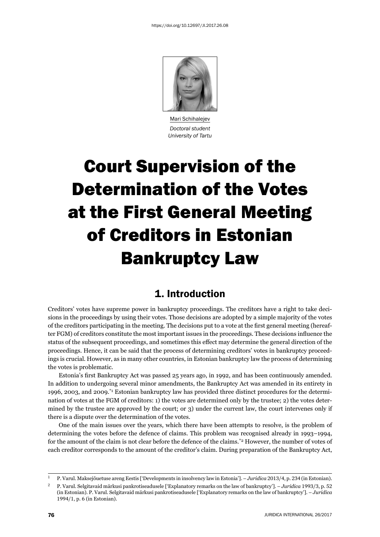

Mari Schihalejev *Doctoral student University of Tartu*

# Court Supervision of the Determination of the Votes at the First General Meeting of Creditors in Estonian Bankruptcy Law

### 1. Introduction

Creditors' votes have supreme power in bankruptcy proceedings. The creditors have a right to take decisions in the proceedings by using their votes. Those decisions are adopted by a simple majority of the votes of the creditors participating in the meeting. The decisions put to a vote at the first general meeting (hereafter FGM) of creditors constitute the most important issues in the proceedings. These decisions influence the status of the subsequent proceedings, and sometimes this effect may determine the general direction of the proceedings. Hence, it can be said that the process of determining creditors' votes in bankruptcy proceedings is crucial. However, as in many other countries, in Estonian bankruptcy law the process of determining the votes is problematic.

Estonia's first Bankruptcy Act was passed 25 years ago, in 1992, and has been continuously amended. In addition to undergoing several minor amendments, the Bankruptcy Act was amended in its entirety in 1996, 2003, and 2009.\*1 Estonian bankruptcy law has provided three distinct procedures for the determination of votes at the FGM of creditors: 1) the votes are determined only by the trustee; 2) the votes determined by the trustee are approved by the court; or 3) under the current law, the court intervenes only if there is a dispute over the determination of the votes.

One of the main issues over the years, which there have been attempts to resolve, is the problem of determining the votes before the defence of claims. This problem was recognised already in 1993–1994, for the amount of the claim is not clear before the defence of the claims.\*2 However, the number of votes of each creditor corresponds to the amount of the creditor's claim. During preparation of the Bankruptcy Act,

<sup>&</sup>lt;sup>1</sup> P. Varul. Maksejõuetuse areng Eestis ['Developments in insolvency law in Estonia']. – *Juridica* 2013/4, p. 234 (in Estonian).

P. Varul. Selgitavaid märkusi pankrotiseadusele ['Explanatory remarks on the law of bankruptcy']. – *Juridica* 1993/3, p. 52 (in Estonian). P. Varul. Selgitavaid märkusi pankrotiseadusele ['Explanatory remarks on the law of bankruptcy']. – *Juridica* 1994/1, p. 6 (in Estonian).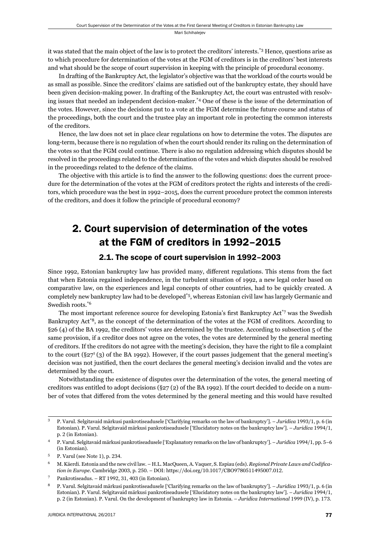it was stated that the main object of the law is to protect the creditors' interests.\*3 Hence, questions arise as to which procedure for determination of the votes at the FGM of creditors is in the creditors' best interests and what should be the scope of court supervision in keeping with the principle of procedural economy.

In drafting of the Bankruptcy Act, the legislator's objective was that the workload of the courts would be as small as possible. Since the creditors' claims are satisfied out of the bankruptcy estate, they should have been given decision-making power. In drafting of the Bankruptcy Act, the court was entrusted with resolving issues that needed an independent decision-maker.\*4 One of these is the issue of the determination of the votes. However, since the decisions put to a vote at the FGM determine the future course and status of the proceedings, both the court and the trustee play an important role in protecting the common interests of the creditors.

Hence, the law does not set in place clear regulations on how to determine the votes. The disputes are long-term, because there is no regulation of when the court should render its ruling on the determination of the votes so that the FGM could continue. There is also no regulation addressing which disputes should be resolved in the proceedings related to the determination of the votes and which disputes should be resolved in the proceedings related to the defence of the claims.

The objective with this article is to find the answer to the following questions: does the current procedure for the determination of the votes at the FGM of creditors protect the rights and interests of the creditors, which procedure was the best in 1992–2015, does the current procedure protect the common interests of the creditors, and does it follow the principle of procedural economy?

# 2. Court supervision of determination of the votes at the FGM of creditors in 1992–2015

#### 2.1. The scope of court supervision in 1992–2003

Since 1992, Estonian bankruptcy law has provided many, different regulations. This stems from the fact that when Estonia regained independence, in the turbulent situation of 1992, a new legal order based on comparative law, on the experiences and legal concepts of other countries, had to be quickly created. A completely new bankruptcy law had to be developed\*5, whereas Estonian civil law has largely Germanic and Swedish roots.\*6

The most important reference source for developing Estonia's first Bankruptcy Act<sup>\*7</sup> was the Swedish Bankruptcy Act<sup>\*8</sup>, as the concept of the determination of the votes at the FGM of creditors. According to §26 (4) of the BA 1992, the creditors' votes are determined by the trustee. According to subsection 5 of the same provision, if a creditor does not agree on the votes, the votes are determined by the general meeting of creditors. If the creditors do not agree with the meeting's decision, they have the right to file a complaint to the court  $(\S 27^{1} (3)$  of the BA 1992). However, if the court passes judgement that the general meeting's decision was not justified, then the court declares the general meeting's decision invalid and the votes are determined by the court.

Notwithstanding the existence of disputes over the determination of the votes, the general meeting of creditors was entitled to adopt decisions  $(\S 27 (2)$  of the BA 1992). If the court decided to decide on a number of votes that differed from the votes determined by the general meeting and this would have resulted

P. Varul. Selgitavaid märkusi pankrotiseadusele ['Clarifying remarks on the law of bankruptcy']. – *Juridica* 1993/1, p. 6 (in Estonian). P. Varul. Selgitavaid märkusi pankrotiseadusele ['Elucidatory notes on the bankruptcy law']. – *Juridica* 1994/1, p. 2 (in Estonian).

<sup>&</sup>lt;sup>4</sup> P. Varul. Selgitavaid märkusi pankrotiseadusele ['Explanatory remarks on the law of bankruptcy']. – *Juridica* 1994/1, pp. 5–6 (in Estonian).

 $5$  P. Varul (see Note 1), p. 234.

ɷ M. Käerdi. Estonia and the new civil law. – H.L. MacQueen, A. Vaquer, S. Espiau (eds). *Regional Private Laws and Codifi cation in Europe*. Cambridge 2003, p. 250. – DOI: https://doi.org/10.1017/CBO9780511495007.012.

<sup>&</sup>lt;sup>7</sup> Pankrotiseadus. – RT 1992, 31, 403 (in Estonian).

P. Varul. Selgitavaid märkusi pankrotiseadusele ['Clarifying remarks on the law of bankruptcy']. – *Juridica* 1993/1, p. 6 (in Estonian). P. Varul. Selgitavaid märkusi pankrotiseadusele ['Elucidatory notes on the bankruptcy law']. – *Juridica* 1994/1, p. 2 (in Estonian). P. Varul. On the development of bankruptcy law in Estonia. – *Juridica International* 1999 (IV), p. 173.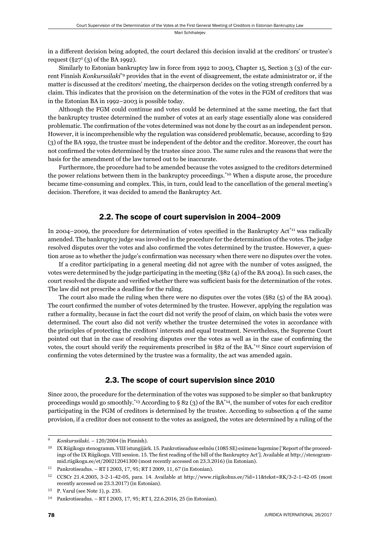in a different decision being adopted, the court declared this decision invalid at the creditors' or trustee's request  $(\S27^1(3)$  of the BA 1992).

Similarly to Estonian bankruptcy law in force from 1992 to 2003, Chapter 15, Section 3 (3) of the current Finnish *Konkurssilaki*\*9 provides that in the event of disagreement, the estate administrator or, if the matter is discussed at the creditors' meeting, the chairperson decides on the voting strength conferred by a claim. This indicates that the provision on the determination of the votes in the FGM of creditors that was in the Estonian BA in 1992–2003 is possible today.

Although the FGM could continue and votes could be determined at the same meeting, the fact that the bankruptcy trustee determined the number of votes at an early stage essentially alone was considered problematic. The confirmation of the votes determined was not done by the court as an independent person. However, it is incomprehensible why the regulation was considered problematic, because, according to §29 (3) of the BA 1992, the trustee must be independent of the debtor and the creditor. Moreover, the court has not confirmed the votes determined by the trustee since 2010. The same rules and the reasons that were the basis for the amendment of the law turned out to be inaccurate.

Furthermore, the procedure had to be amended because the votes assigned to the creditors determined the power relations between them in the bankruptcy proceedings.\*10 When a dispute arose, the procedure became time-consuming and complex. This, in turn, could lead to the cancellation of the general meeting's decision. Therefore, it was decided to amend the Bankruptcy Act.

#### 2.2. The scope of court supervision in 2004–2009

In 2004–2009, the procedure for determination of votes specified in the Bankruptcy Act<sup>\*11</sup> was radically amended. The bankruptcy judge was involved in the procedure for the determination of the votes. The judge resolved disputes over the votes and also confirmed the votes determined by the trustee. However, a question arose as to whether the judge's confirmation was necessary when there were no disputes over the votes.

If a creditor participating in a general meeting did not agree with the number of votes assigned, the votes were determined by the judge participating in the meeting (§82 (4) of the BA 2004). In such cases, the court resolved the dispute and verified whether there was sufficient basis for the determination of the votes. The law did not prescribe a deadline for the ruling.

The court also made the ruling when there were no disputes over the votes (§82 (5) of the BA 2004). The court confirmed the number of votes determined by the trustee. However, applying the regulation was rather a formality, because in fact the court did not verify the proof of claim, on which basis the votes were determined. The court also did not verify whether the trustee determined the votes in accordance with the principles of protecting the creditors' interests and equal treatment. Nevertheless, the Supreme Court pointed out that in the case of resolving disputes over the votes as well as in the case of confirming the votes, the court should verify the requirements prescribed in §82 of the BA.\*12 Since court supervision of confirming the votes determined by the trustee was a formality, the act was amended again.

#### 2.3. The scope of court supervision since 2010

Since 2010, the procedure for the determination of the votes was supposed to be simpler so that bankruptcy proceedings would go smoothly.<sup>\*13</sup> According to § 82 (3) of the BA<sup>\*14</sup>, the number of votes for each creditor participating in the FGM of creditors is determined by the trustee. According to subsection 4 of the same provision, if a creditor does not consent to the votes as assigned, the votes are determined by a ruling of the

*Konkurssilaki.* – 120/2004 (in Finnish).

IX Riigikogu stenogramm. VIII istungijärk. 15. Pankrotiseaduse eelnõu (1085 SE) esimene lugemine ['Report of the proceedings of the IX Riigikogu. VIII session. 15. The first reading of the bill of the Bankruptcy Act']. Available at http://stenogrammid.riigikogu.ee/et/200212041300 (most recently accessed on 23.3.2016) (in Estonian).

 $11$  Pankrotiseadus. – RT I 2003, 17, 95; RT I 2009, 11, 67 (in Estonian).

<sup>&</sup>lt;sup>12</sup> CCSCr 21.4.2005, 3-2-1-42-05, para. 14. Available at http://www.riigikohus.ee/?id=11&tekst=RK/3-2-1-42-05 (most recently accessed on 23.3.2017) (in Estonian).

P. Varul (see Note 1), p. 235.

<sup>&</sup>lt;sup>14</sup> Pankrotiseadus. – RT I 2003, 17, 95; RT I, 22.6.2016, 25 (in Estonian).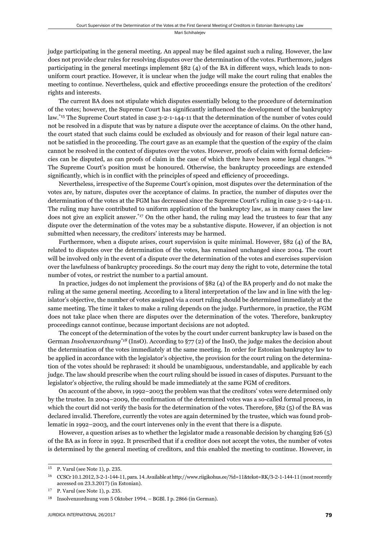Mari Schihalejev

judge participating in the general meeting. An appeal may be filed against such a ruling. However, the law does not provide clear rules for resolving disputes over the determination of the votes. Furthermore, judges participating in the general meetings implement  $\S 82$  (4) of the BA in different ways, which leads to nonuniform court practice. However, it is unclear when the judge will make the court ruling that enables the meeting to continue. Nevertheless, quick and effective proceedings ensure the protection of the creditors' rights and interests.

The current BA does not stipulate which disputes essentially belong to the procedure of determination of the votes; however, the Supreme Court has significantly influenced the development of the bankruptcy law.\*15 The Supreme Court stated in case 3-2-1-144-11 that the determination of the number of votes could not be resolved in a dispute that was by nature a dispute over the acceptance of claims. On the other hand, the court stated that such claims could be excluded as obviously and for reason of their legal nature cannot be satisfied in the proceeding. The court gave as an example that the question of the expiry of the claim cannot be resolved in the context of disputes over the votes. However, proofs of claim with formal deficiencies can be disputed, as can proofs of claim in the case of which there have been some legal changes.\*16 The Supreme Court's position must be honoured. Otherwise, the bankruptcy proceedings are extended significantly, which is in conflict with the principles of speed and efficiency of proceedings.

Nevertheless, irrespective of the Supreme Court's opinion, most disputes over the determination of the votes are, by nature, disputes over the acceptance of claims. In practice, the number of disputes over the determination of the votes at the FGM has decreased since the Supreme Court's ruling in case 3-2-1-144-11. The ruling may have contributed to uniform application of the bankruptcy law, as in many cases the law does not give an explicit answer.<sup>\*17</sup> On the other hand, the ruling may lead the trustees to fear that any dispute over the determination of the votes may be a substantive dispute. However, if an objection is not submitted when necessary, the creditors' interests may be harmed.

Furthermore, when a dispute arises, court supervision is quite minimal. However, §82 (4) of the BA, related to disputes over the determination of the votes, has remained unchanged since 2004. The court will be involved only in the event of a dispute over the determination of the votes and exercises supervision over the lawfulness of bankruptcy proceedings. So the court may deny the right to vote, determine the total number of votes, or restrict the number to a partial amount.

In practice, judges do not implement the provisions of §82 (4) of the BA properly and do not make the ruling at the same general meeting. According to a literal interpretation of the law and in line with the legislator's objective, the number of votes assigned via a court ruling should be determined immediately at the same meeting. The time it takes to make a ruling depends on the judge. Furthermore, in practice, the FGM does not take place when there are disputes over the determination of the votes. Therefore, bankruptcy proceedings cannot continue, because important decisions are not adopted.

The concept of the determination of the votes by the court under current bankruptcy law is based on the German *Insolvenzordnung\*18* (InsO). According to §77 (2) of the InsO, the judge makes the decision about the determination of the votes immediately at the same meeting. In order for Estonian bankruptcy law to be applied in accordance with the legislator's objective, the provision for the court ruling on the determination of the votes should be rephrased: it should be unambiguous, understandable, and applicable by each judge. The law should prescribe when the court ruling should be issued in cases of disputes. Pursuant to the legislator's objective, the ruling should be made immediately at the same FGM of creditors.

On account of the above, in 1992–2003 the problem was that the creditors' votes were determined only by the trustee. In 2004–2009, the confirmation of the determined votes was a so-called formal process, in which the court did not verify the basis for the determination of the votes. Therefore, §82 (5) of the BA was declared invalid. Therefore, currently the votes are again determined by the trustee, which was found problematic in 1992–2003, and the court intervenes only in the event that there is a dispute.

However, a question arises as to whether the legislator made a reasonable decision by changing §26 (5) of the BA as in force in 1992. It prescribed that if a creditor does not accept the votes, the number of votes is determined by the general meeting of creditors, and this enabled the meeting to continue. However, in

 $15$  P. Varul (see Note 1), p. 235.

CCSCr 10.1.2012, 3-2-1-144-11, para. 14. Available at http://www.riigikohus.ee/?id=11&tekst=RK/3-2-1-144-11 (most recently accessed on 23.3.2017) (in Estonian).

 $17$  P. Varul (see Note 1), p. 235.

<sup>&</sup>lt;sup>18</sup> Insolvenzordnung vom 5 Oktober 1994. – BGBl. I p. 2866 (in German).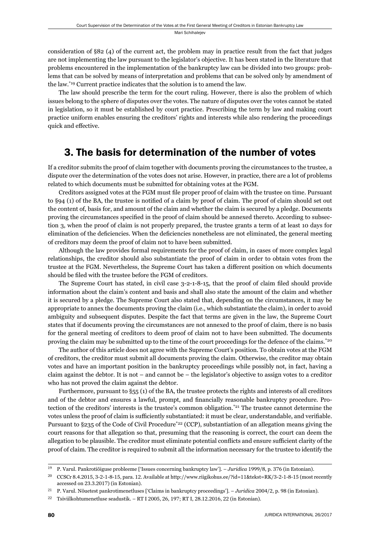consideration of §82 (4) of the current act, the problem may in practice result from the fact that judges are not implementing the law pursuant to the legislator's objective. It has been stated in the literature that problems encountered in the implementation of the bankruptcy law can be divided into two groups: problems that can be solved by means of interpretation and problems that can be solved only by amendment of the law.\*19 Current practice indicates that the solution is to amend the law.

The law should prescribe the term for the court ruling. However, there is also the problem of which issues belong to the sphere of disputes over the votes. The nature of disputes over the votes cannot be stated in legislation, so it must be established by court practice. Prescribing the term by law and making court practice uniform enables ensuring the creditors' rights and interests while also rendering the proceedings quick and effective.

## 3. The basis for determination of the number of votes

If a creditor submits the proof of claim together with documents proving the circumstances to the trustee, a dispute over the determination of the votes does not arise. However, in practice, there are a lot of problems related to which documents must be submitted for obtaining votes at the FGM.

Creditors assigned votes at the FGM must file proper proof of claim with the trustee on time. Pursuant to §94 (1) of the BA, the trustee is notified of a claim by proof of claim. The proof of claim should set out the content of, basis for, and amount of the claim and whether the claim is secured by a pledge. Documents proving the circumstances specified in the proof of claim should be annexed thereto. According to subsection 3, when the proof of claim is not properly prepared, the trustee grants a term of at least 10 days for elimination of the deficiencies. When the deficiencies nonetheless are not eliminated, the general meeting of creditors may deem the proof of claim not to have been submitted.

Although the law provides formal requirements for the proof of claim, in cases of more complex legal relationships, the creditor should also substantiate the proof of claim in order to obtain votes from the trustee at the FGM. Nevertheless, the Supreme Court has taken a different position on which documents should be filed with the trustee before the FGM of creditors.

The Supreme Court has stated, in civil case  $3-2-1-8-15$ , that the proof of claim filed should provide information about the claim's content and basis and shall also state the amount of the claim and whether it is secured by a pledge. The Supreme Court also stated that, depending on the circumstances, it may be appropriate to annex the documents proving the claim (i.e., which substantiate the claim), in order to avoid ambiguity and subsequent disputes. Despite the fact that terms are given in the law, the Supreme Court states that if documents proving the circumstances are not annexed to the proof of claim, there is no basis for the general meeting of creditors to deem proof of claim not to have been submitted. The documents proving the claim may be submitted up to the time of the court proceedings for the defence of the claims.\*20

The author of this article does not agree with the Supreme Court's position. To obtain votes at the FGM of creditors, the creditor must submit all documents proving the claim. Otherwise, the creditor may obtain votes and have an important position in the bankruptcy proceedings while possibly not, in fact, having a claim against the debtor. It is not – and cannot be – the legislator's objective to assign votes to a creditor who has not proved the claim against the debtor.

Furthermore, pursuant to §55 (1) of the BA, the trustee protects the rights and interests of all creditors and of the debtor and ensures a lawful, prompt, and financially reasonable bankruptcy procedure. Protection of the creditors' interests is the trustee's common obligation.<sup>\*21</sup> The trustee cannot determine the votes unless the proof of claim is sufficiently substantiated: it must be clear, understandable, and verifiable. Pursuant to §235 of the Code of Civil Procedure<sup>\*22</sup> (CCP), substantiation of an allegation means giving the court reasons for that allegation so that, presuming that the reasoning is correct, the court can deem the allegation to be plausible. The creditor must eliminate potential conflicts and ensure sufficient clarity of the proof of claim. The creditor is required to submit all the information necessary for the trustee to identify the

<sup>&</sup>lt;sup>19</sup> P. Varul. Pankrotiõiguse probleeme ['Issues concerning bankruptcy law']. – *Juridica* 1999/8, p. 376 (in Estonian).

<sup>&</sup>lt;sup>20</sup> CCSCr 8.4.2015, 3-2-1-8-15, para. 12. Available at http://www.riigikohus.ee/?id=11&tekst=RK/3-2-1-8-15 (most recently accessed on 23.3.2017) (in Estonian).

P. Varul. Nõuetest pankrotimenetluses ['Claims in bankruptcy proceedings']. – *Juridica* 2004/2, p. 98 (in Estonian).

<sup>&</sup>lt;sup>22</sup> Tsiviilkohtumenetluse seadustik. – RT I 2005, 26, 197; RT I, 28.12.2016, 22 (in Estonian).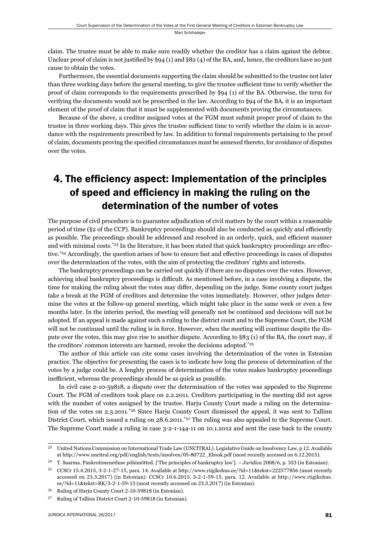claim. The trustee must be able to make sure readily whether the creditor has a claim against the debtor. Unclear proof of claim is not justified by  $\S 94 (1)$  and  $\S 82 (4)$  of the BA, and, hence, the creditors have no just cause to obtain the votes.

Furthermore, the essential documents supporting the claim should be submitted to the trustee not later than three working days before the general meeting, to give the trustee sufficient time to verify whether the proof of claim corresponds to the requirements prescribed by §94 (1) of the BA. Otherwise, the term for verifying the documents would not be prescribed in the law. According to §94 of the BA, it is an important element of the proof of claim that it must be supplemented with documents proving the circumstances.

Because of the above, a creditor assigned votes at the FGM must submit proper proof of claim to the trustee in three working days. This gives the trustee sufficient time to verify whether the claim is in accordance with the requirements prescribed by law. In addition to formal requirements pertaining to the proof of claim, documents proving the specified circumstances must be annexed thereto, for avoidance of disputes over the votes.

# 4. The efficiency aspect: Implementation of the principles of speed and efficiency in making the ruling on the determination of the number of votes

The purpose of civil procedure is to guarantee adjudication of civil matters by the court within a reasonable period of time (§2 of the CCP). Bankruptcy proceedings should also be conducted as quickly and efficiently as possible. The proceedings should be addressed and resolved in an orderly, quick, and efficient manner and with minimal costs.\*<sup>23</sup> In the literature, it has been stated that quick bankruptcy proceedings are effective.<sup>\*24</sup> Accordingly, the question arises of how to ensure fast and effective proceedings in cases of disputes over the determination of the votes, with the aim of protecting the creditors' rights and interests.

The bankruptcy proceedings can be carried out quickly if there are no disputes over the votes. However, achieving ideal bankruptcy proceedings is difficult. As mentioned before, in a case involving a dispute, the time for making the ruling about the votes may differ, depending on the judge. Some county court judges take a break at the FGM of creditors and determine the votes immediately. However, other judges determine the votes at the follow-up general meeting, which might take place in the same week or even a few months later. In the interim period, the meeting will generally not be continued and decisions will not be adopted. If an appeal is made against such a ruling to the district court and to the Supreme Court, the FGM will not be continued until the ruling is in force. However, when the meeting will continue despite the dispute over the votes, this may give rise to another dispute. According to §83 (1) of the BA, the court may, if the creditors' common interests are harmed, revoke the decisions adopted.\*25

The author of this article can cite some cases involving the determination of the votes in Estonian practice. The objective for presenting the cases is to indicate how long the process of determination of the votes by a judge could be. A lenghty process of determination of the votes makes bankruptcy proceedings inefficient, whereas the proceedings should be as quick as possible.

In civil case 2-10-59818, a dispute over the determination of the votes was appealed to the Supreme Court. The FGM of creditors took place on 2.2.2011. Creditors participating in the meeting did not agree with the number of votes assigned by the trustee. Harju County Court made a ruling on the determination of the votes on 2.3.2011.\*26 Since Harju County Court dismissed the appeal, it was sent to Tallinn District Court, which issued a ruling on 28.6.2011.<sup>\*27</sup> The ruling was also appealed to the Supreme Court. The Supreme Court made a ruling in case 3-2-1-144-11 on 10.1.2012 and sent the case back to the county

<sup>&</sup>lt;sup>23</sup> United Nations Commission on International Trade Law (UNCITRAL). Legislative Guide on Insolvency Law, p 12. Available at http://www.uncitral.org/pdf/english/texts/insolven/05-80722\_Ebook.pdf (most recently accessed on 6.12.2015).

<sup>&</sup>lt;sup>24</sup> T. Saarma. Pankrotimenetluse põhimõtted. ['The principles of bankruptcy law']. – *Juridica* 2008/6, p. 353 (in Estonian).

<sup>&</sup>lt;sup>25</sup> CCSCr 15.4.2015, 3-2-1-27-15, para. 14. Available at http://www.riigikohus.ee/?id=11&tekst=222577856 (most recently accessed on 23.3.2017) (in Estonian). CCSCr 10.6.2015, 3-2-1-59-15, para. 12. Available at http://www.riigikohus. ee/?id=11&tekst=RK/3-2-1-59-15 (most recently accessed on 23.3.2017) (in Estonian).

<sup>&</sup>lt;sup>26</sup> Ruling of Harju County Court 2-10-59818 (in Estonian).

<sup>&</sup>lt;sup>27</sup> Ruling of Tallinn District Court 2-10-59818 (in Estonian).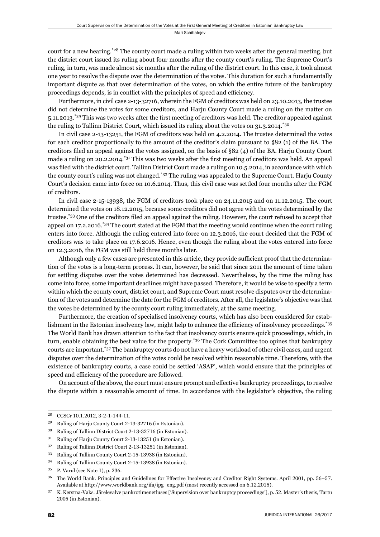Mari Schihalejev

court for a new hearing.<sup>\*28</sup> The county court made a ruling within two weeks after the general meeting, but the district court issued its ruling about four months after the county court's ruling. The Supreme Court's ruling, in turn, was made almost six months after the ruling of the district court. In this case, it took almost one year to resolve the dispute over the determination of the votes. This duration for such a fundamentally important dispute as that over determination of the votes, on which the entire future of the bankruptcy proceedings depends, is in conflict with the principles of speed and efficiency.

Furthermore, in civil case 2-13-32716, wherein the FGM of creditors was held on 23.10.2013, the trustee did not determine the votes for some creditors, and Harju County Court made a ruling on the matter on 5.11.2013.<sup>\*29</sup> This was two weeks after the first meeting of creditors was held. The creditor appealed against the ruling to Tallinn District Court, which issued its ruling about the votes on 31.3.2014.<sup>\*30</sup>

In civil case 2-13-13251, the FGM of creditors was held on 4.2.2014. The trustee determined the votes for each creditor proportionally to the amount of the creditor's claim pursuant to §82 (1) of the BA. The creditors filed an appeal against the votes assigned, on the basis of §82 (4) of the BA. Harju County Court made a ruling on 20.2.2014.<sup>\*31</sup> This was two weeks after the first meeting of creditors was held. An appeal was filed with the district court. Tallinn District Court made a ruling on 10.5.2014, in accordance with which the county court's ruling was not changed.\*32 The ruling was appealed to the Supreme Court. Harju County Court's decision came into force on 10.6.2014. Thus, this civil case was settled four months after the FGM of creditors.

In civil case 2-15-13938, the FGM of creditors took place on 24.11.2015 and on 11.12.2015. The court determined the votes on 18.12.2015, because some creditors did not agree with the votes determined by the trustee.<sup>\*33</sup> One of the creditors filed an appeal against the ruling. However, the court refused to accept that appeal on 17.2.2016.\*34 The court stated at the FGM that the meeting would continue when the court ruling enters into force. Although the ruling entered into force on 12.3.2016, the court decided that the FGM of creditors was to take place on 17.6.2016. Hence, even though the ruling about the votes entered into force on 12.3.2016, the FGM was still held three months later.

Although only a few cases are presented in this article, they provide sufficient proof that the determination of the votes is a long-term process. It can, however, be said that since 2011 the amount of time taken for settling disputes over the votes determined has decreased. Nevertheless, by the time the ruling has come into force, some important deadlines might have passed. Therefore, it would be wise to specify a term within which the county court, district court, and Supreme Court must resolve disputes over the determination of the votes and determine the date for the FGM of creditors. After all, the legislator's objective was that the votes be determined by the county court ruling immediately, at the same meeting.

Furthermore, the creation of specialised insolvency courts, which has also been considered for establishment in the Estonian insolvency law, might help to enhance the efficiency of insolvency proceedings.<sup>\*35</sup> The World Bank has drawn attention to the fact that insolvency courts ensure quick proceedings, which, in turn, enable obtaining the best value for the property.<sup>\*36</sup> The Cork Committee too opines that bankruptcy courts are important.\*37 The bankruptcy courts do not have a heavy workload of other civil cases, and urgent disputes over the determination of the votes could be resolved within reasonable time. Therefore, with the existence of bankruptcy courts, a case could be settled 'ASAP', which would ensure that the principles of speed and efficiency of the procedure are followed.

On account of the above, the court must ensure prompt and effective bankruptcy proceedings, to resolve the dispute within a reasonable amount of time. In accordance with the legislator's objective, the ruling

<sup>&</sup>lt;sup>28</sup> CCSCr 10.1.2012, 3-2-1-144-11.

<sup>&</sup>lt;sup>29</sup> Ruling of Harju County Court 2-13-32716 (in Estonian).

<sup>&</sup>lt;sup>30</sup> Ruling of Tallinn District Court 2-13-32716 (in Estonian).

<sup>&</sup>lt;sup>31</sup> Ruling of Harju County Court 2-13-13251 (in Estonian).

<sup>&</sup>lt;sup>32</sup> Ruling of Tallinn District Court 2-13-13251 (in Estonian).

<sup>&</sup>lt;sup>33</sup> Ruling of Tallinn County Court 2-15-13938 (in Estonian).

<sup>&</sup>lt;sup>34</sup> Ruling of Tallinn County Court 2-15-13938 (in Estonian).

 $35$  P. Varul (see Note 1), p. 236.

<sup>&</sup>lt;sup>36</sup> The World Bank. Principles and Guidelines for Effective Insolvency and Creditor Right Systems. April 2001, pp. 56–57. Available at http://www.worldbank.org/ifa/ipg\_eng.pdf (most recently accessed on 6.12.2015).

<sup>&</sup>lt;sup>37</sup> K. Kerstna-Vaks. Järelevalve pankrotimenetluses ['Supervision over bankruptcy proceedings'], p. 52. Master's thesis, Tartu 2005 (in Estonian).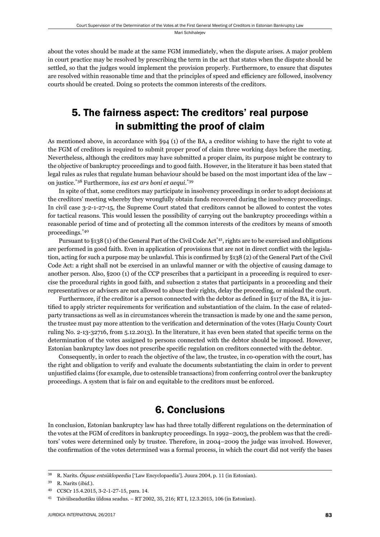about the votes should be made at the same FGM immediately, when the dispute arises. A major problem in court practice may be resolved by prescribing the term in the act that states when the dispute should be settled, so that the judges would implement the provision properly. Furthermore, to ensure that disputes are resolved within reasonable time and that the principles of speed and efficiency are followed, insolvency courts should be created. Doing so protects the common interests of the creditors.

## 5. The fairness aspect: The creditors' real purpose in submitting the proof of claim

As mentioned above, in accordance with §94 (1) of the BA, a creditor wishing to have the right to vote at the FGM of creditors is required to submit proper proof of claim three working days before the meeting. Nevertheless, although the creditors may have submitted a proper claim, its purpose might be contrary to the objective of bankruptcy proceedings and to good faith. However, in the literature it has been stated that legal rules as rules that regulate human behaviour should be based on the most important idea of the law – on justice.\*38 Furthermore, *ius est ars boni et aequi*. \*39

In spite of that, some creditors may participate in insolvency proceedings in order to adopt decisions at the creditors' meeting whereby they wrongfully obtain funds recovered during the insolvency proceedings. In civil case 3-2-1-27-15, the Supreme Court stated that creditors cannot be allowed to contest the votes for tactical reasons. This would lessen the possibility of carrying out the bankruptcy proceedings within a reasonable period of time and of protecting all the common interests of the creditors by means of smooth proceedings.\*40

Pursuant to §138 (1) of the General Part of the Civil Code Act\*41, rights are to be exercised and obligations are performed in good faith. Even in application of provisions that are not in direct conflict with the legislation, acting for such a purpose may be unlawful. This is confirmed by  $\S 138$  (2) of the General Part of the Civil Code Act: a right shall not be exercised in an unlawful manner or with the objective of causing damage to another person. Also, §200 (1) of the CCP prescribes that a participant in a proceeding is required to exercise the procedural rights in good faith, and subsection 2 states that participants in a proceeding and their representatives or advisers are not allowed to abuse their rights, delay the proceeding, or mislead the court.

Furthermore, if the creditor is a person connected with the debtor as defined in §117 of the BA, it is justified to apply stricter requirements for verification and substantiation of the claim. In the case of relatedparty transactions as well as in circumstances wherein the transaction is made by one and the same person, the trustee must pay more attention to the verification and determination of the votes (Harju County Court ruling No. 2-13-32716, from 5.12.2013). In the literature, it has even been stated that specific terms on the determination of the votes assigned to persons connected with the debtor should be imposed. However, Estonian bankruptcy law does not prescribe specific regulation on creditors connected with the debtor.

Consequently, in order to reach the objective of the law, the trustee, in co-operation with the court, has the right and obligation to verify and evaluate the documents substantiating the claim in order to prevent unjustified claims (for example, due to ostensible transactions) from conferring control over the bankruptcy proceedings. A system that is fair on and equitable to the creditors must be enforced.

## 6. Conclusions

In conclusion, Estonian bankruptcy law has had three totally different regulations on the determination of the votes at the FGM of creditors in bankruptcy proceedings. In 1992–2003, the problem was that the creditors' votes were determined only by trustee. Therefore, in 2004–2009 the judge was involved. However, the confirmation of the votes determined was a formal process, in which the court did not verify the bases

<sup>&</sup>lt;sup>38</sup> R. Narits. Õiguse entsüklopeedia ['Law Encyclopaedia']. Juura 2004, p. 11 (in Estonian).

ɴɺ R. Narits (*ibid*.).

<sup>40</sup> CCSCr 15.4.2015, 3-2-1-27-15, para. 14.

<sup>&</sup>lt;sup>41</sup> Tsiviilseadustiku üldosa seadus. – RT 2002, 35, 216; RT I, 12.3.2015, 106 (in Estonian).